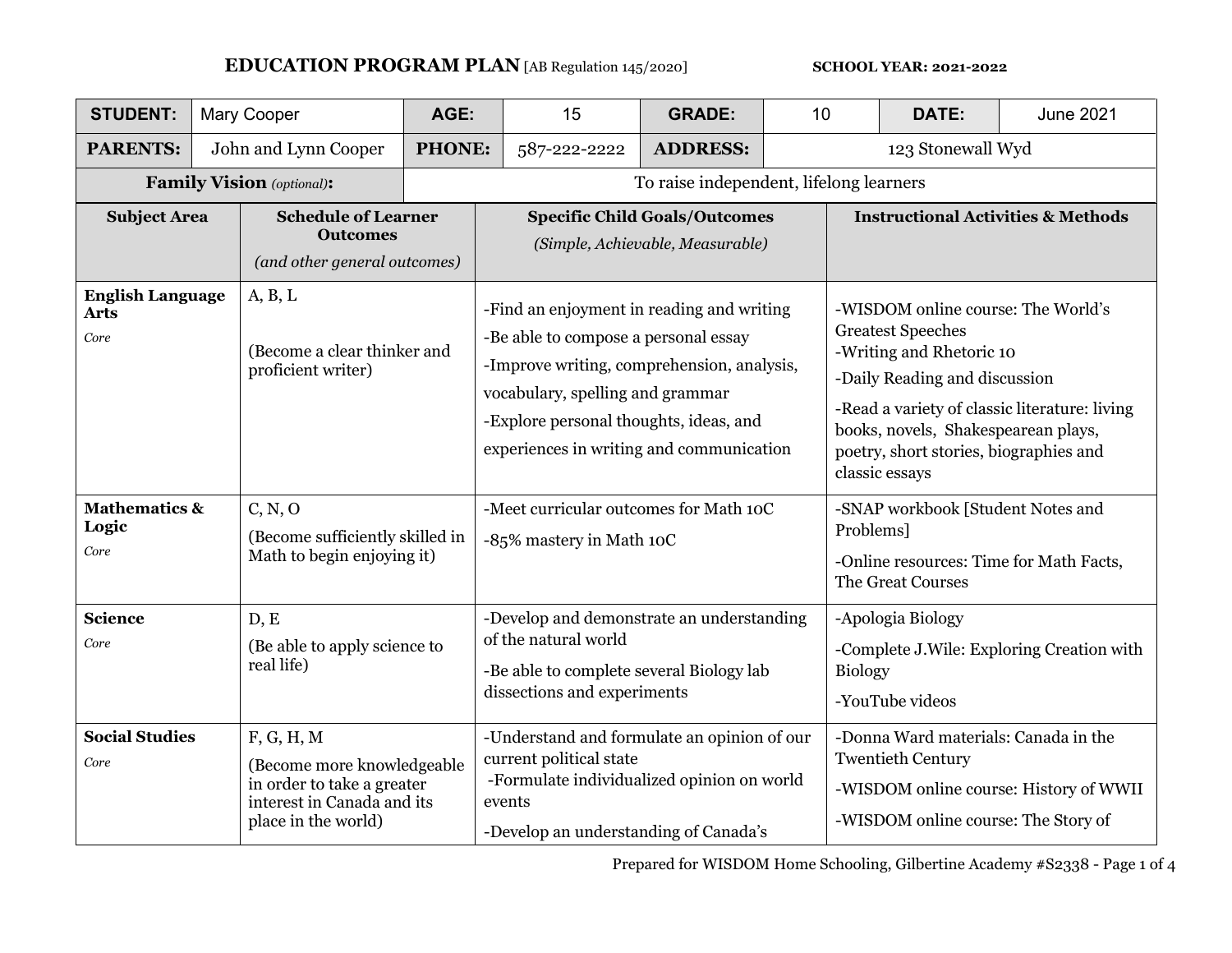## **EDUCATION PROGRAM PLAN** [AB Regulation 145/2020] **SCHOOL YEAR: 2021-2022**

| <b>STUDENT:</b>                                                                                                       |  | <b>Mary Cooper</b>                                                                                                          | AGE:                                                               | 15                                                                                                                                                                                                                                                        | <b>GRADE:</b>   | 10 <sup>1</sup>                                                                                                | <b>DATE:</b>                                                                                                                                                                                                                                                                    | <b>June 2021</b> |  |
|-----------------------------------------------------------------------------------------------------------------------|--|-----------------------------------------------------------------------------------------------------------------------------|--------------------------------------------------------------------|-----------------------------------------------------------------------------------------------------------------------------------------------------------------------------------------------------------------------------------------------------------|-----------------|----------------------------------------------------------------------------------------------------------------|---------------------------------------------------------------------------------------------------------------------------------------------------------------------------------------------------------------------------------------------------------------------------------|------------------|--|
| <b>PARENTS:</b>                                                                                                       |  | John and Lynn Cooper                                                                                                        | <b>PHONE:</b>                                                      | 587-222-2222                                                                                                                                                                                                                                              | <b>ADDRESS:</b> |                                                                                                                | 123 Stonewall Wyd                                                                                                                                                                                                                                                               |                  |  |
| <b>Family Vision</b> (optional):                                                                                      |  | To raise independent, lifelong learners                                                                                     |                                                                    |                                                                                                                                                                                                                                                           |                 |                                                                                                                |                                                                                                                                                                                                                                                                                 |                  |  |
| <b>Subject Area</b>                                                                                                   |  | <b>Schedule of Learner</b><br><b>Outcomes</b><br>(and other general outcomes)                                               |                                                                    | <b>Specific Child Goals/Outcomes</b><br>(Simple, Achievable, Measurable)                                                                                                                                                                                  |                 |                                                                                                                | <b>Instructional Activities &amp; Methods</b>                                                                                                                                                                                                                                   |                  |  |
| A, B, L<br><b>English Language</b><br><b>Arts</b><br>Core                                                             |  | (Become a clear thinker and<br>proficient writer)                                                                           |                                                                    | -Find an enjoyment in reading and writing<br>-Be able to compose a personal essay<br>-Improve writing, comprehension, analysis,<br>vocabulary, spelling and grammar<br>-Explore personal thoughts, ideas, and<br>experiences in writing and communication |                 |                                                                                                                | -WISDOM online course: The World's<br><b>Greatest Speeches</b><br>-Writing and Rhetoric 10<br>-Daily Reading and discussion<br>-Read a variety of classic literature: living<br>books, novels, Shakespearean plays,<br>poetry, short stories, biographies and<br>classic essays |                  |  |
| <b>Mathematics &amp;</b><br>C, N, O<br>Logic<br>(Become sufficiently skilled in<br>Core<br>Math to begin enjoying it) |  |                                                                                                                             | -Meet curricular outcomes for Math 10C<br>-85% mastery in Math 10C |                                                                                                                                                                                                                                                           |                 | -SNAP workbook [Student Notes and<br>Problems]<br>-Online resources: Time for Math Facts,<br>The Great Courses |                                                                                                                                                                                                                                                                                 |                  |  |
| <b>Science</b><br>Core                                                                                                |  | D, E<br>(Be able to apply science to<br>real life)                                                                          |                                                                    | -Develop and demonstrate an understanding<br>of the natural world<br>-Be able to complete several Biology lab<br>dissections and experiments                                                                                                              |                 |                                                                                                                | -Apologia Biology<br>-Complete J.Wile: Exploring Creation with<br><b>Biology</b><br>-YouTube videos                                                                                                                                                                             |                  |  |
| <b>Social Studies</b><br>Core                                                                                         |  | F, G, H, M<br>(Become more knowledgeable<br>in order to take a greater<br>interest in Canada and its<br>place in the world) |                                                                    | -Understand and formulate an opinion of our<br>current political state<br>-Formulate individualized opinion on world<br>events<br>-Develop an understanding of Canada's                                                                                   |                 |                                                                                                                | -Donna Ward materials: Canada in the<br><b>Twentieth Century</b><br>-WISDOM online course: History of WWII<br>-WISDOM online course: The Story of                                                                                                                               |                  |  |

Prepared for WISDOM Home Schooling, Gilbertine Academy #S2338 - Page 1 of 4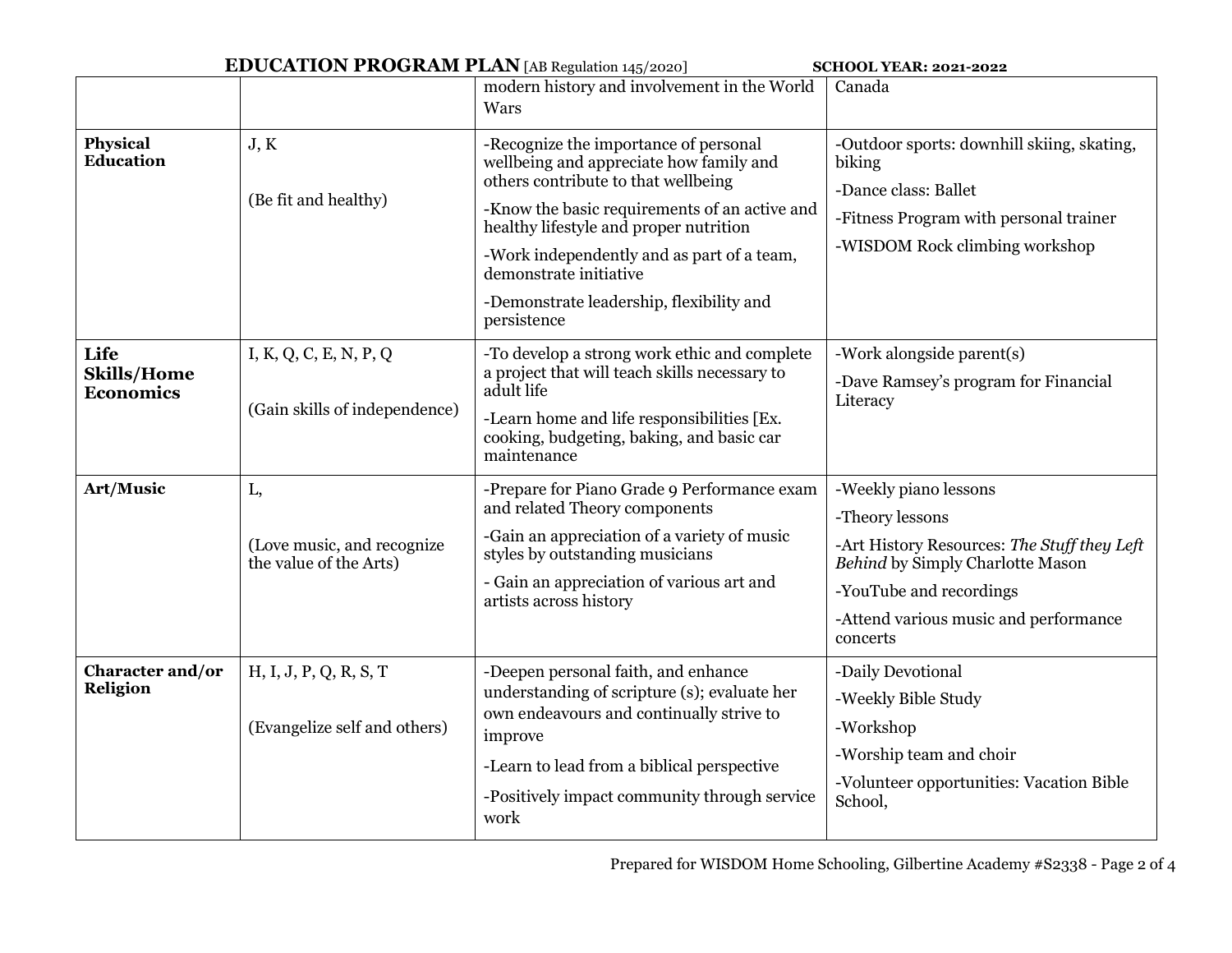| <b>EDUCATION PROGRAM PLAN</b> [AB Regulation 145/2020]<br><b>SCHOOL YEAR: 2021-2022</b> |                                                             |                                                                                                                                                                                                                                                                                                                                                       |                                                                                                                                                                                                                    |  |  |
|-----------------------------------------------------------------------------------------|-------------------------------------------------------------|-------------------------------------------------------------------------------------------------------------------------------------------------------------------------------------------------------------------------------------------------------------------------------------------------------------------------------------------------------|--------------------------------------------------------------------------------------------------------------------------------------------------------------------------------------------------------------------|--|--|
|                                                                                         |                                                             | modern history and involvement in the World<br>Wars                                                                                                                                                                                                                                                                                                   | Canada                                                                                                                                                                                                             |  |  |
| <b>Physical</b><br><b>Education</b>                                                     | J, K<br>(Be fit and healthy)                                | -Recognize the importance of personal<br>wellbeing and appreciate how family and<br>others contribute to that wellbeing<br>-Know the basic requirements of an active and<br>healthy lifestyle and proper nutrition<br>-Work independently and as part of a team,<br>demonstrate initiative<br>-Demonstrate leadership, flexibility and<br>persistence | -Outdoor sports: downhill skiing, skating,<br>biking<br>-Dance class: Ballet<br>-Fitness Program with personal trainer<br>-WISDOM Rock climbing workshop                                                           |  |  |
| Life<br><b>Skills/Home</b><br><b>Economics</b>                                          | I, K, Q, C, E, N, P, Q<br>(Gain skills of independence)     | -To develop a strong work ethic and complete<br>a project that will teach skills necessary to<br>adult life<br>-Learn home and life responsibilities [Ex.<br>cooking, budgeting, baking, and basic car<br>maintenance                                                                                                                                 | -Work alongside parent(s)<br>-Dave Ramsey's program for Financial<br>Literacy                                                                                                                                      |  |  |
| Art/Music                                                                               | L,<br>(Love music, and recognize)<br>the value of the Arts) | -Prepare for Piano Grade 9 Performance exam<br>and related Theory components<br>-Gain an appreciation of a variety of music<br>styles by outstanding musicians<br>- Gain an appreciation of various art and<br>artists across history                                                                                                                 | -Weekly piano lessons<br>-Theory lessons<br>-Art History Resources: The Stuff they Left<br><b>Behind by Simply Charlotte Mason</b><br>-YouTube and recordings<br>-Attend various music and performance<br>concerts |  |  |
| <b>Character and/or</b><br><b>Religion</b>                                              | H, I, J, P, Q, R, S, T<br>(Evangelize self and others)      | -Deepen personal faith, and enhance<br>understanding of scripture (s); evaluate her<br>own endeavours and continually strive to<br>improve<br>-Learn to lead from a biblical perspective<br>-Positively impact community through service<br>work                                                                                                      | -Daily Devotional<br>-Weekly Bible Study<br>-Workshop<br>-Worship team and choir<br>-Volunteer opportunities: Vacation Bible<br>School,                                                                            |  |  |

Prepared for WISDOM Home Schooling, Gilbertine Academy #S2338 - Page 2 of 4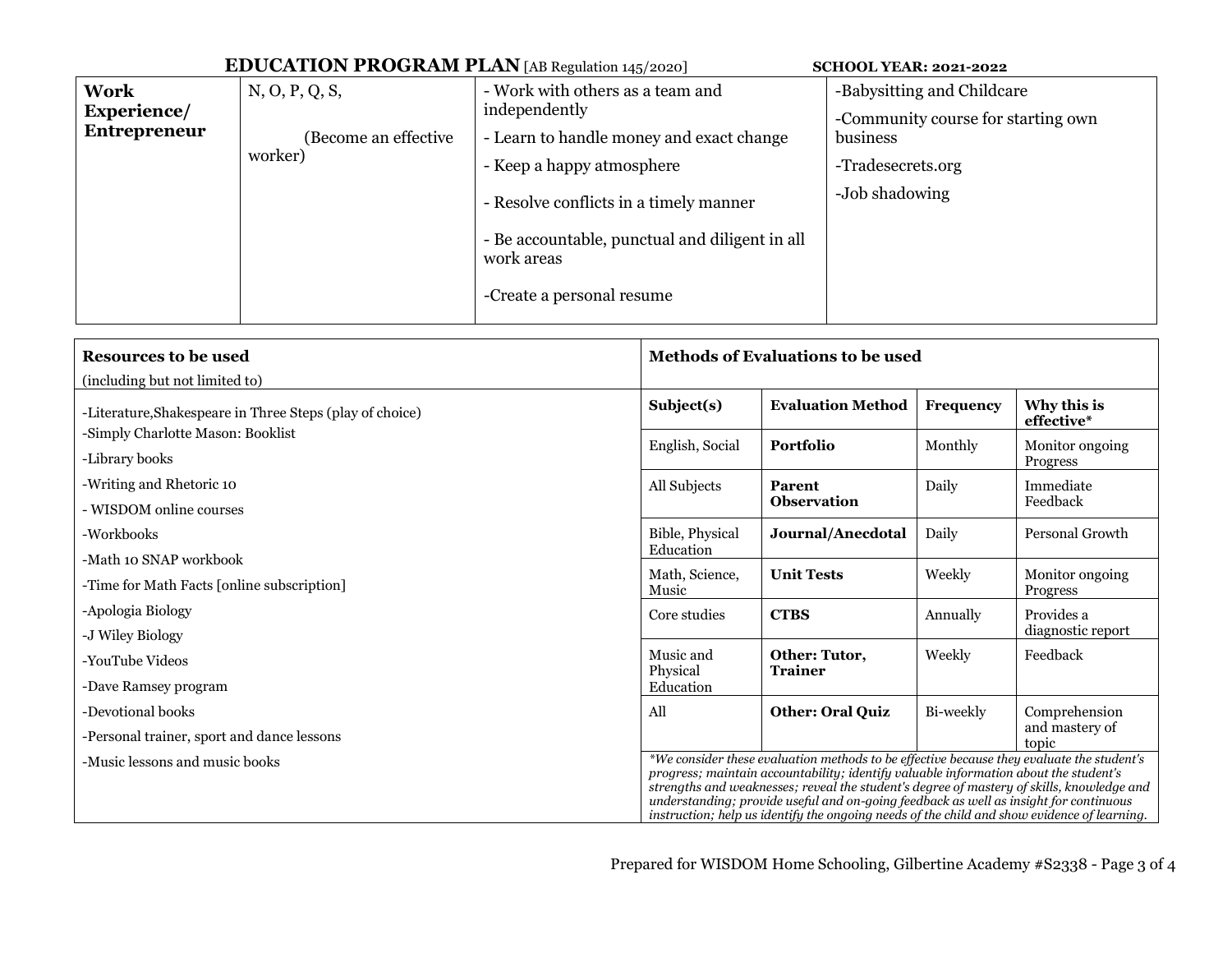|                                            | <b>EDUCATION PROGRAM PLAN</b> [AB Regulation 145/2020] | <b>SCHOOL YEAR: 2021-2022</b>                                                                                                                                                                                                                                     |                                                                                                                     |
|--------------------------------------------|--------------------------------------------------------|-------------------------------------------------------------------------------------------------------------------------------------------------------------------------------------------------------------------------------------------------------------------|---------------------------------------------------------------------------------------------------------------------|
| Work<br>Experience/<br><b>Entrepreneur</b> | N, O, P, Q, S,<br>(Become an effective<br>worker)      | - Work with others as a team and<br>independently<br>- Learn to handle money and exact change<br>- Keep a happy atmosphere<br>- Resolve conflicts in a timely manner<br>- Be accountable, punctual and diligent in all<br>work areas<br>-Create a personal resume | -Babysitting and Childcare<br>-Community course for starting own<br>business<br>-Tradesecrets.org<br>-Job shadowing |
|                                            |                                                        |                                                                                                                                                                                                                                                                   |                                                                                                                     |

| <b>Resources to be used</b>                                                                                                                                                                                                                                                                                                                                                                                                                                                                              | <b>Methods of Evaluations to be used</b> |                                 |           |                             |
|----------------------------------------------------------------------------------------------------------------------------------------------------------------------------------------------------------------------------------------------------------------------------------------------------------------------------------------------------------------------------------------------------------------------------------------------------------------------------------------------------------|------------------------------------------|---------------------------------|-----------|-----------------------------|
| (including but not limited to)                                                                                                                                                                                                                                                                                                                                                                                                                                                                           |                                          |                                 |           |                             |
| -Literature, Shakespeare in Three Steps (play of choice)                                                                                                                                                                                                                                                                                                                                                                                                                                                 | Subject(s)                               | <b>Evaluation Method</b>        | Frequency | Why this is<br>effective*   |
| -Simply Charlotte Mason: Booklist<br>-Library books                                                                                                                                                                                                                                                                                                                                                                                                                                                      | English, Social                          | Portfolio                       | Monthly   | Monitor ongoing<br>Progress |
| -Writing and Rhetoric 10                                                                                                                                                                                                                                                                                                                                                                                                                                                                                 | All Subjects                             | Parent                          | Daily     | Immediate<br>Feedback       |
| - WISDOM online courses                                                                                                                                                                                                                                                                                                                                                                                                                                                                                  |                                          | <b>Observation</b>              |           |                             |
| -Workbooks                                                                                                                                                                                                                                                                                                                                                                                                                                                                                               | Bible, Physical<br>Education             | Journal/Anecdotal               | Daily     | Personal Growth             |
| -Math 10 SNAP workbook                                                                                                                                                                                                                                                                                                                                                                                                                                                                                   | Math, Science,<br>Music                  | <b>Unit Tests</b>               | Weekly    | Monitor ongoing<br>Progress |
| -Time for Math Facts [online subscription]                                                                                                                                                                                                                                                                                                                                                                                                                                                               |                                          |                                 |           |                             |
| -Apologia Biology                                                                                                                                                                                                                                                                                                                                                                                                                                                                                        | Core studies                             | <b>CTBS</b>                     | Annually  | Provides a                  |
| -J Wiley Biology                                                                                                                                                                                                                                                                                                                                                                                                                                                                                         |                                          |                                 |           | diagnostic report           |
| -YouTube Videos                                                                                                                                                                                                                                                                                                                                                                                                                                                                                          | Music and<br>Physical                    | Other: Tutor,<br><b>Trainer</b> | Weekly    | Feedback                    |
| -Dave Ramsey program                                                                                                                                                                                                                                                                                                                                                                                                                                                                                     | Education                                |                                 |           |                             |
| -Devotional books                                                                                                                                                                                                                                                                                                                                                                                                                                                                                        | All                                      | <b>Other: Oral Quiz</b>         | Bi-weekly | Comprehension               |
| -Personal trainer, sport and dance lessons                                                                                                                                                                                                                                                                                                                                                                                                                                                               |                                          |                                 |           | and mastery of<br>topic     |
| *We consider these evaluation methods to be effective because they evaluate the student's<br>-Music lessons and music books<br>progress; maintain accountability; identify valuable information about the student's<br>strengths and weaknesses; reveal the student's degree of mastery of skills, knowledge and<br>understanding; provide useful and on-going feedback as well as insight for continuous<br>instruction; help us identify the ongoing needs of the child and show evidence of learning. |                                          |                                 |           |                             |